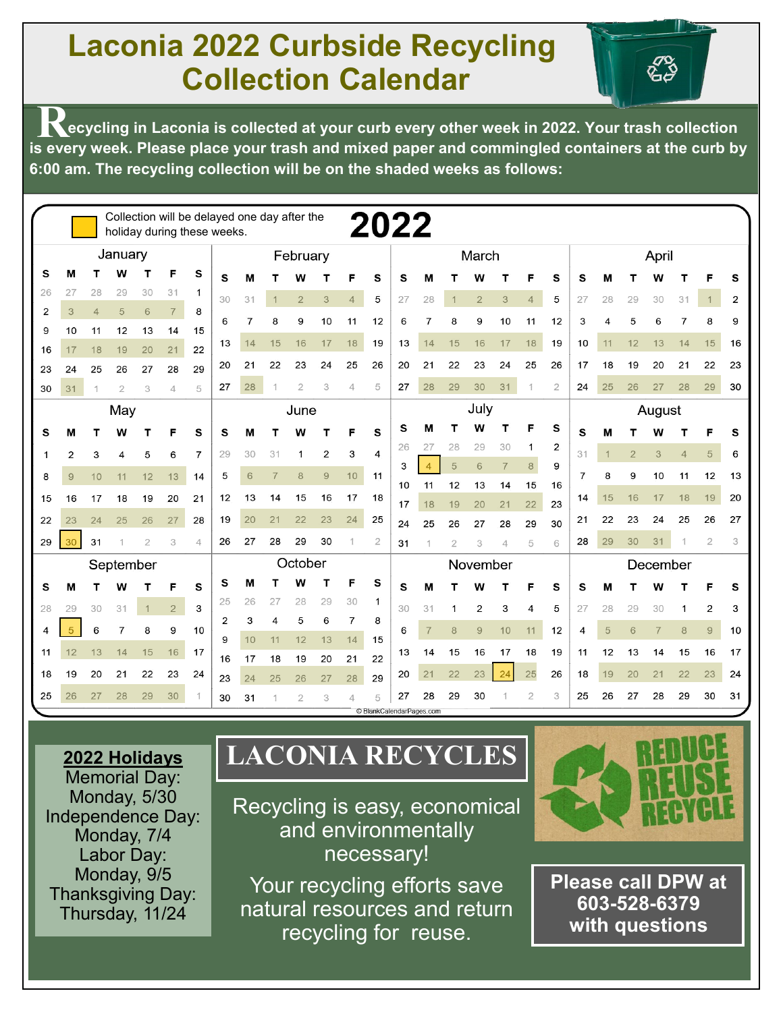# **Laconia 2022 Curbside Recycling Collection Calendar**

ନ୍ଦୁ<br>ଜୁନ

**R Example 2022.** Your trash collected at your curb every other week in 2022. Your trash collection **is every week. Please place your trash and mixed paper and commingled containers at the curb by 6:00 am. The recycling collection will be on the shaded weeks as follows:**

|    |                |                |                |                |                | Collection will be delayed one day after the<br>holiday during these weeks. |                |         |                |                |                |                | 2022                          |          |                |                |                |                |                |                |       |                |                |                |                |                |                |
|----|----------------|----------------|----------------|----------------|----------------|-----------------------------------------------------------------------------|----------------|---------|----------------|----------------|----------------|----------------|-------------------------------|----------|----------------|----------------|----------------|----------------|----------------|----------------|-------|----------------|----------------|----------------|----------------|----------------|----------------|
|    | January        |                |                |                |                |                                                                             |                |         | February       |                |                |                |                               |          | March          |                |                |                |                |                | April |                |                |                |                |                |                |
| s  | М              |                |                |                | F              | s                                                                           | s              | м       |                | W              |                | F              | s                             | s        | М              |                | W              |                |                | s              | s     | М              |                | w              |                |                | s              |
| 26 | 27             | 28             | 29             | 30             | 31             | -1                                                                          | 30             | 31      | $\mathbf 1$    | $\overline{2}$ | 3              | $\overline{4}$ | 5                             | 27       | 28             | $\mathbf{1}$   | $\overline{2}$ | 3              | $\overline{4}$ | 5              | 27    | 28             | 29             | 30             | 31             | $\mathbf{1}$   | $\overline{2}$ |
| 2  | 3              | $\overline{4}$ | 5              | 6              | $\overline{7}$ | 8                                                                           | 6              | 7       | 8              | 9              | 10             | 11             | 12                            | 6        | 7              | 8              | 9              | 10             | 11             | 12             | 3     | 4              | 5              | 6              |                | 8              | 9              |
| 9  | 10             | 11             | 12             | 13             | 14             | 15                                                                          | 13             | 14      | 15             | 16             | 17             | 18             | 19                            | 13       | 14             | 15             | 16             | 17             | 18             | 19             | 10    | 11             | 12             | 13             | 14             | 15             | 16             |
| 16 | 17             | 18             | 19             | 20             | 21             | 22                                                                          |                |         |                |                |                |                |                               |          |                |                |                |                |                |                |       |                |                |                |                |                |                |
| 23 | 24             | 25             | 26             | 27             | 28             | 29                                                                          | 20             | 21      | 22             | 23             | 24             | 25             | 26                            | 20       | 21             | 22             | 23             | 24             | 25             | 26             | 17    | 18             | 19             | 20             | 21             | 22             | 23             |
| 30 | 31             | 1              | $\overline{2}$ | 3              | 4              | 5                                                                           | 27             | 28      |                | $\overline{2}$ | 3              | 4              | 5                             | 27       | 28             | 29             | 30             | 31             | 1              | $\overline{2}$ | 24    | 25             | 26             | 27             | 28             | 29             | 30             |
|    | May            |                |                |                |                |                                                                             |                | June    |                |                |                |                |                               |          | July           |                |                |                |                | August         |       |                |                |                |                |                |                |
| s  | M              | т              | w              | т              |                | s                                                                           | s              | м       |                | w              | т              | F              | S                             | s        | м              |                | w              |                | F              | s              | s     | M              | т              | W              | т              |                | s              |
| 1  | $\overline{2}$ | 3              | 4              | 5              | 6              | 7                                                                           | 29             | 30      | 31             | 1              | $\overline{2}$ | 3              | 4                             | 26       | 27             | 28             | 29             | 30             | 1              | $\overline{2}$ | 31    | $\overline{1}$ | $\overline{2}$ | 3              | $\overline{4}$ | 5              | 6              |
| 8  | 9              | 10             | 11             | 12             | 13             | 14                                                                          | 5              | 6       | $\overline{7}$ | 8              | 9              | 10             | 11                            | 3        |                | 5              | 6              | $\overline{7}$ | 8              | 9              | 7     | 8              | 9              | 10             | 11             | 12             | 13             |
| 15 | 16             | 17             | 18             | 19             | 20             | 21                                                                          | 12             | 13      | 14             | 15             | 16             | 17             | 18                            | 10       | 11             | 12             | 13             | 14             | 15             | 16             | 14    | 15             | 16             | 17             | 18             | 19             | 20             |
|    |                |                |                |                |                |                                                                             |                | 20      |                |                | 23             | 24             |                               | 17       | 18             | 19             | 20             | 21             | 22             | 23             |       | 22             | 23             |                | 25             | 26             | 27             |
| 22 | 23             | 24             | 25             | 26             | 27             | 28                                                                          | 19             |         | 21             | 22             |                |                | 25                            | 24       | 25             | 26             | 27             | 28             | 29             | 30             | 21    |                |                | 24             |                |                |                |
| 29 | 30             | 31             |                | $\overline{2}$ | 3              | $\Delta$                                                                    | 26             | 27      | 28             | 29             | 30             | $\overline{1}$ | $\overline{2}$                | 31       |                | $\overline{2}$ | 3              | 4              | 5              | 6              | 28    | 29             | 30             | 31             |                | $\overline{2}$ | 3              |
|    | September      |                |                |                |                |                                                                             |                | October |                |                |                |                |                               | November |                |                |                |                |                | December       |       |                |                |                |                |                |                |
| s  | M              | т              | W              |                | F              | S                                                                           | s              | м       |                | W              | т              | F              | S                             | s        | М              |                | w              |                | F              | s              | s     | M              |                | W              |                |                | s              |
| 28 | 29             | 30             | 31             |                | $\overline{2}$ | 3                                                                           | 25             | 26      | 27             | 28             | 29             | 30             | 1                             | 30       | 31             | 1              | 2              | 3              | 4              | 5              | 27    | 28             | 29             | 30             | 1              | 2              | 3              |
| 4  | 5              | 6              | 7              | 8              | 9              | 10                                                                          | $\overline{2}$ | 3       | 4              | 5              | 6              | 7              | 8                             | 6        | $\overline{7}$ | $\bf{8}$       | $\overline{9}$ | 10             | 11             | 12             | 4     | 5              | 6              | $\overline{7}$ | 8              | $\overline{9}$ | 10             |
| 11 | 12             | 13             | 14             | 15             | 16             | 17                                                                          | 9              | 10      | 11             | 12             | 13             | 14             | 15                            | 13       | 14             | 15             | 16             | 17             | 18             | 19             | 11    | 12             | 13             | 14             | 15             | 16             | 17             |
| 18 | 19             | 20             | 21             | 22             | 23             | 24                                                                          | 16             | 17      | 18             | 19             | 20             | 21             | 22                            | 20       | 21             | 22             | 23             | 24             | 25             | 26             | 18    | 19             | 20             | 21             | 22             | 23             | 24             |
|    |                |                |                |                |                |                                                                             | 23             | 24      | 25             | 26             | 27             | 28             | 29                            |          |                |                |                |                |                |                |       |                |                |                |                |                |                |
| 25 | 26             | 27             | 28             | 29             | 30             |                                                                             | 30             | 31      | 1              | $\overline{2}$ | 3              |                | 5<br>C BlankCalendarPages.com | 27       | 28             | 29             | 30             |                | $\mathbf{2}$   | 3              | 25    | 26             | 27             | 28             | 29             | 30             | 31             |

## **2022 Holidays**

Memorial Day: Monday, 5/30 Independence Day: Monday, 7/4 Labor Day: Monday, 9/5 Thanksgiving Day: Thursday, 11/24

# **LACONIA RECYCLES**

Recycling is easy, economical and environmentally necessary!

Your recycling efforts save natural resources and return recycling for reuse.



**Please call DPW at 603-528-6379 with questions**